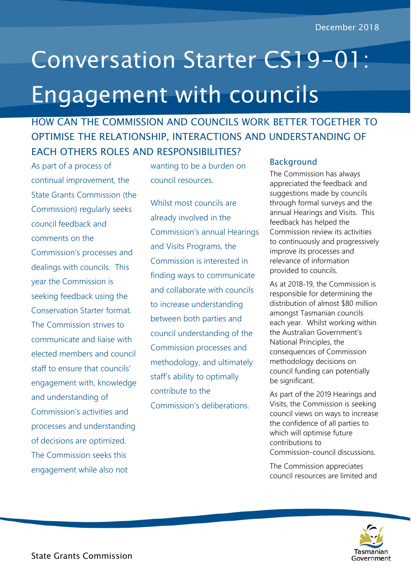# Conversation Starter CS19-01: Engagement with councils

## HOW CAN THE COMMISSION AND COUNCILS WORK BETTER TOGETHER TO OPTIMISE THE RELATIONSHIP, INTERACTIONS AND UNDERSTANDING OF EACH OTHERS ROLES AND RESPONSIBILITIES?

As part of a process of continual improvement, the State Grants Commission (the Commission) regularly seeks council feedback and comments on the Commission's processes and dealings with councils. This year the Commission is seeking feedback using the Conservation Starter format. The Commission strives to communicate and liaise with elected members and council staff to ensure that councils' engagement with, knowledge and understanding of Commission's activities and processes and understanding of decisions are optimized. The Commission seeks this engagement while also not

wanting to be a burden on council resources.

Whilst most councils are already involved in the Commission's annual Hearings and Visits Programs, the Commission is interested in finding ways to communicate and collaborate with councils to increase understanding between both parties and council understanding of the Commission processes and methodology, and ultimately staff's ability to optimally contribute to the Commission's deliberations.

#### **Background**

The Commission has always appreciated the feedback and suggestions made by councils through formal surveys and the annual Hearings and Visits. This feedback has helped the Commission review its activities to continuously and progressively improve its processes and relevance of information provided to councils.

As at 2018-19, the Commission is responsible for determining the distribution of almost \$80 million amongst Tasmanian councils each year. Whilst working within the Australian Government's National Principles, the consequences of Commission methodology decisions on council funding can potentially be significant.

As part of the 2019 Hearings and Visits, the Commission is seeking council views on ways to increase the confidence of all parties to which will optimise future contributions to Commission-council discussions.

The Commission appreciates council resources are limited and